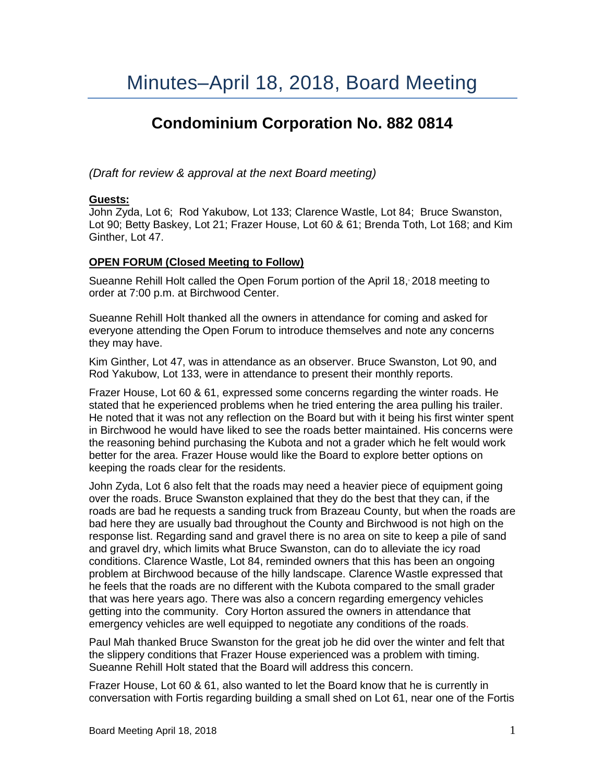# **Condominium Corporation No. 882 0814**

*(Draft for review & approval at the next Board meeting)*

## **Guests:**

John Zyda, Lot 6; Rod Yakubow, Lot 133; Clarence Wastle, Lot 84; Bruce Swanston, Lot 90; Betty Baskey, Lot 21; Frazer House, Lot 60 & 61; Brenda Toth, Lot 168; and Kim Ginther, Lot 47.

## **OPEN FORUM (Closed Meeting to Follow)**

Sueanne Rehill Holt called the Open Forum portion of the April 18, 2018 meeting to order at 7:00 p.m. at Birchwood Center.

Sueanne Rehill Holt thanked all the owners in attendance for coming and asked for everyone attending the Open Forum to introduce themselves and note any concerns they may have.

Kim Ginther, Lot 47, was in attendance as an observer. Bruce Swanston, Lot 90, and Rod Yakubow, Lot 133, were in attendance to present their monthly reports.

Frazer House, Lot 60 & 61, expressed some concerns regarding the winter roads. He stated that he experienced problems when he tried entering the area pulling his trailer. He noted that it was not any reflection on the Board but with it being his first winter spent in Birchwood he would have liked to see the roads better maintained. His concerns were the reasoning behind purchasing the Kubota and not a grader which he felt would work better for the area. Frazer House would like the Board to explore better options on keeping the roads clear for the residents.

John Zyda, Lot 6 also felt that the roads may need a heavier piece of equipment going over the roads. Bruce Swanston explained that they do the best that they can, if the roads are bad he requests a sanding truck from Brazeau County, but when the roads are bad here they are usually bad throughout the County and Birchwood is not high on the response list. Regarding sand and gravel there is no area on site to keep a pile of sand and gravel dry, which limits what Bruce Swanston, can do to alleviate the icy road conditions. Clarence Wastle, Lot 84, reminded owners that this has been an ongoing problem at Birchwood because of the hilly landscape. Clarence Wastle expressed that he feels that the roads are no different with the Kubota compared to the small grader that was here years ago. There was also a concern regarding emergency vehicles getting into the community. Cory Horton assured the owners in attendance that emergency vehicles are well equipped to negotiate any conditions of the roads.

Paul Mah thanked Bruce Swanston for the great job he did over the winter and felt that the slippery conditions that Frazer House experienced was a problem with timing. Sueanne Rehill Holt stated that the Board will address this concern.

Frazer House, Lot 60 & 61, also wanted to let the Board know that he is currently in conversation with Fortis regarding building a small shed on Lot 61, near one of the Fortis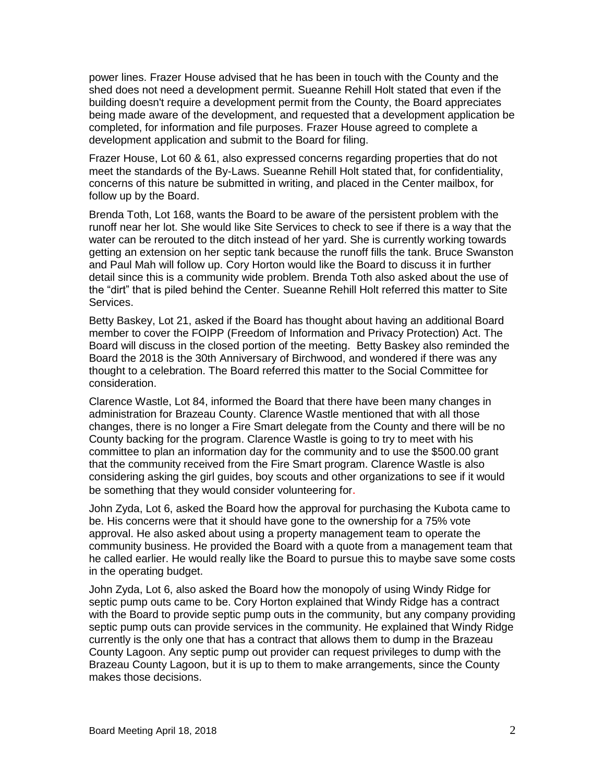power lines. Frazer House advised that he has been in touch with the County and the shed does not need a development permit. Sueanne Rehill Holt stated that even if the building doesn't require a development permit from the County, the Board appreciates being made aware of the development, and requested that a development application be completed, for information and file purposes. Frazer House agreed to complete a development application and submit to the Board for filing.

Frazer House, Lot 60 & 61, also expressed concerns regarding properties that do not meet the standards of the By-Laws. Sueanne Rehill Holt stated that, for confidentiality, concerns of this nature be submitted in writing, and placed in the Center mailbox, for follow up by the Board.

Brenda Toth, Lot 168, wants the Board to be aware of the persistent problem with the runoff near her lot. She would like Site Services to check to see if there is a way that the water can be rerouted to the ditch instead of her yard. She is currently working towards getting an extension on her septic tank because the runoff fills the tank. Bruce Swanston and Paul Mah will follow up. Cory Horton would like the Board to discuss it in further detail since this is a community wide problem. Brenda Toth also asked about the use of the "dirt" that is piled behind the Center. Sueanne Rehill Holt referred this matter to Site Services.

Betty Baskey, Lot 21, asked if the Board has thought about having an additional Board member to cover the FOIPP (Freedom of Information and Privacy Protection) Act. The Board will discuss in the closed portion of the meeting. Betty Baskey also reminded the Board the 2018 is the 30th Anniversary of Birchwood, and wondered if there was any thought to a celebration. The Board referred this matter to the Social Committee for consideration.

Clarence Wastle, Lot 84, informed the Board that there have been many changes in administration for Brazeau County. Clarence Wastle mentioned that with all those changes, there is no longer a Fire Smart delegate from the County and there will be no County backing for the program. Clarence Wastle is going to try to meet with his committee to plan an information day for the community and to use the \$500.00 grant that the community received from the Fire Smart program. Clarence Wastle is also considering asking the girl guides, boy scouts and other organizations to see if it would be something that they would consider volunteering for.

John Zyda, Lot 6, asked the Board how the approval for purchasing the Kubota came to be. His concerns were that it should have gone to the ownership for a 75% vote approval. He also asked about using a property management team to operate the community business. He provided the Board with a quote from a management team that he called earlier. He would really like the Board to pursue this to maybe save some costs in the operating budget.

John Zyda, Lot 6, also asked the Board how the monopoly of using Windy Ridge for septic pump outs came to be. Cory Horton explained that Windy Ridge has a contract with the Board to provide septic pump outs in the community, but any company providing septic pump outs can provide services in the community. He explained that Windy Ridge currently is the only one that has a contract that allows them to dump in the Brazeau County Lagoon. Any septic pump out provider can request privileges to dump with the Brazeau County Lagoon, but it is up to them to make arrangements, since the County makes those decisions.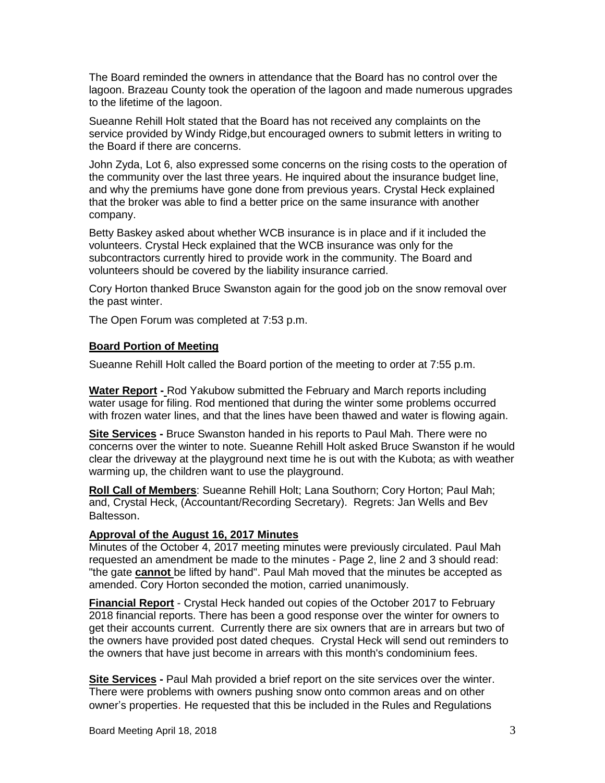The Board reminded the owners in attendance that the Board has no control over the lagoon. Brazeau County took the operation of the lagoon and made numerous upgrades to the lifetime of the lagoon.

Sueanne Rehill Holt stated that the Board has not received any complaints on the service provided by Windy Ridge,but encouraged owners to submit letters in writing to the Board if there are concerns.

John Zyda, Lot 6, also expressed some concerns on the rising costs to the operation of the community over the last three years. He inquired about the insurance budget line, and why the premiums have gone done from previous years. Crystal Heck explained that the broker was able to find a better price on the same insurance with another company.

Betty Baskey asked about whether WCB insurance is in place and if it included the volunteers. Crystal Heck explained that the WCB insurance was only for the subcontractors currently hired to provide work in the community. The Board and volunteers should be covered by the liability insurance carried.

Cory Horton thanked Bruce Swanston again for the good job on the snow removal over the past winter.

The Open Forum was completed at 7:53 p.m.

## **Board Portion of Meeting**

Sueanne Rehill Holt called the Board portion of the meeting to order at 7:55 p.m.

**Water Report -** Rod Yakubow submitted the February and March reports including water usage for filing. Rod mentioned that during the winter some problems occurred with frozen water lines, and that the lines have been thawed and water is flowing again.

**Site Services -** Bruce Swanston handed in his reports to Paul Mah. There were no concerns over the winter to note. Sueanne Rehill Holt asked Bruce Swanston if he would clear the driveway at the playground next time he is out with the Kubota; as with weather warming up, the children want to use the playground.

**Roll Call of Members**: Sueanne Rehill Holt; Lana Southorn; Cory Horton; Paul Mah; and, Crystal Heck, (Accountant/Recording Secretary). Regrets: Jan Wells and Bev Baltesson.

#### **Approval of the August 16, 2017 Minutes**

Minutes of the October 4, 2017 meeting minutes were previously circulated. Paul Mah requested an amendment be made to the minutes - Page 2, line 2 and 3 should read: "the gate **cannot** be lifted by hand". Paul Mah moved that the minutes be accepted as amended. Cory Horton seconded the motion, carried unanimously.

**Financial Report** - Crystal Heck handed out copies of the October 2017 to February 2018 financial reports. There has been a good response over the winter for owners to get their accounts current. Currently there are six owners that are in arrears but two of the owners have provided post dated cheques. Crystal Heck will send out reminders to the owners that have just become in arrears with this month's condominium fees.

**Site Services -** Paul Mah provided a brief report on the site services over the winter. There were problems with owners pushing snow onto common areas and on other owner's properties. He requested that this be included in the Rules and Regulations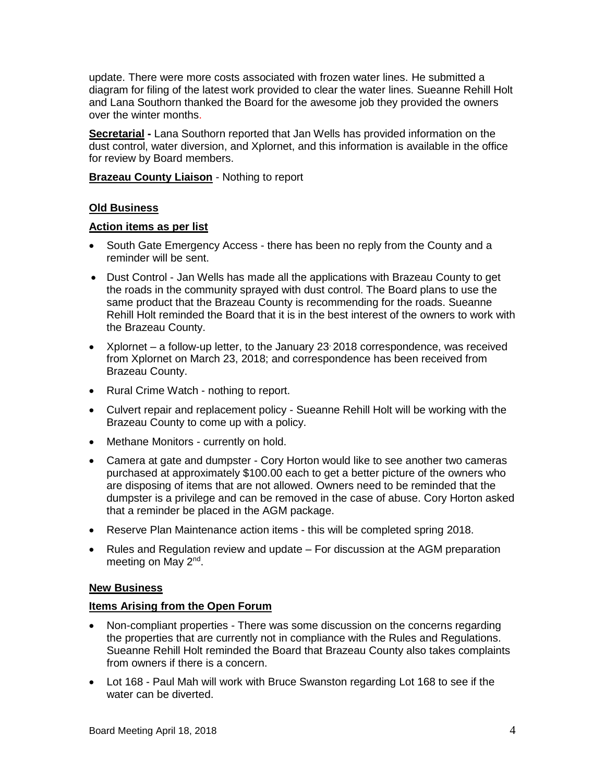update. There were more costs associated with frozen water lines. He submitted a diagram for filing of the latest work provided to clear the water lines. Sueanne Rehill Holt and Lana Southorn thanked the Board for the awesome job they provided the owners over the winter months.

**Secretarial -** Lana Southorn reported that Jan Wells has provided information on the dust control, water diversion, and Xplornet, and this information is available in the office for review by Board members.

**Brazeau County Liaison** - Nothing to report

## **Old Business**

#### **Action items as per list**

- South Gate Emergency Access there has been no reply from the County and a reminder will be sent.
- Dust Control Jan Wells has made all the applications with Brazeau County to get the roads in the community sprayed with dust control. The Board plans to use the same product that the Brazeau County is recommending for the roads. Sueanne Rehill Holt reminded the Board that it is in the best interest of the owners to work with the Brazeau County.
- Xplornet a follow-up letter, to the January 23 2018 correspondence, was received from Xplornet on March 23, 2018; and correspondence has been received from Brazeau County.
- Rural Crime Watch nothing to report.
- Culvert repair and replacement policy Sueanne Rehill Holt will be working with the Brazeau County to come up with a policy.
- Methane Monitors currently on hold.
- Camera at gate and dumpster Cory Horton would like to see another two cameras purchased at approximately \$100.00 each to get a better picture of the owners who are disposing of items that are not allowed. Owners need to be reminded that the dumpster is a privilege and can be removed in the case of abuse. Cory Horton asked that a reminder be placed in the AGM package.
- Reserve Plan Maintenance action items this will be completed spring 2018.
- Rules and Regulation review and update For discussion at the AGM preparation meeting on May 2<sup>nd</sup>.

#### **New Business**

#### **Items Arising from the Open Forum**

- Non-compliant properties There was some discussion on the concerns regarding the properties that are currently not in compliance with the Rules and Regulations. Sueanne Rehill Holt reminded the Board that Brazeau County also takes complaints from owners if there is a concern.
- Lot 168 Paul Mah will work with Bruce Swanston regarding Lot 168 to see if the water can be diverted.